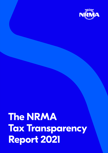

2021 Tax Transparency Report **1**

# **The NRMA Tax Transparency Report 2021**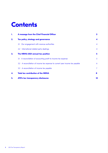### **Contents**

| ۱. | A message from the Chief Financial Officer                                    | $\mathbf{3}$   |
|----|-------------------------------------------------------------------------------|----------------|
| 2. | <b>Tax policy, strategy and governance</b>                                    | 4              |
|    | Our engagement with revenue authorities<br>2.1                                | $\overline{4}$ |
|    | 2.2 International related party dealings                                      | $\overline{4}$ |
| 3. | The NRMA 2021 annual tax position                                             | 5              |
|    | 3.1 A reconciliation of accounting profit to income tax expense               | 5              |
|    | 3.2 A reconciliation of income tax expense to current year income tax payable | 6              |
|    | 3.3 A reconciliation of income tax payable                                    | $\overline{7}$ |
| 4. | <b>Total tax contribution of the NRMA</b>                                     | 8              |
| 5. | ATO's tax transparency disclosures                                            | 10             |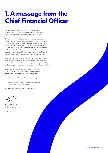# **1. A message from the Chief Financial Officer**

On behalf of the Board of Directors, I am pleased to present the 2021 Tax Transparency Report for the National Roads and Motorists' Association Limited (the NRMA).

Our common purpose has always been to keep people moving through our core motoring services. After 100 years of pursuing our mission to help and to keep Australians moving, we're looking to the future and beginning to shape what the next 100 years will look like. Our focus has evolved to encompass the journey and destination through leisure, transport and tourism. Our purpose today is to provide the freedom to move, explore and connect with people and places for a brighter shared future.

The NRMA remains focused on complying with legislative and regulatory requirements in accordance with our Risk Appetite Statement, and is committed to meeting all tax compliance obligations and being open, transparent and cooperative about our tax affairs.

This report is based on the principles outlined in the Board of Taxation's Voluntary Tax Transparency Code and for the year ended 30 June 2021 we present:

- Our approach to tax policy, strategy and governance
- Reconciliations of income tax expense, effective tax rate and income tax payable
- Our tax contribution to the community

**Michael Gabriel**  Chief Financial Officer

May 2022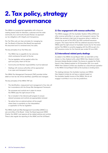# **2. Tax policy, strategy and governance**

The NRMA is a purpose-led organisation with a focus on creating shared value for Members, customers and the wider community. As a community focused Mutual, we approach our tax obligations with integrity and transparency.

Our Tax Policy sets out clear principles for managing tax risk. The Board of Directors (the Board) has approved this document and it is reviewed every two years.

The key principles of our Tax Policy are:

- The NRMA has no appetite for tax outcomes which contravene the spirit of the law
- The tax legislation will be applied within the spirit and policy intent of the law
- Community and Member responsibilities must be balanced
- Dealings with revenue authorities will be approached in an open and transparent manner

The NRMA Tax Management Framework (TMF) provides further detail on how tax risk will be identified, quantified and managed.

The key principles of the NRMA TMF are:

- The identification, measurement and management of tax risks will be in accordance with the Group Risk Management Framework
- Tax processes and controls are in place to ensure the NRMA pays the right amount of tax
- Tax is included in the internal audit program to ensure relevant processes and controls are appropriately reviewed
- Tax advice from an external advisor will be sought where there is uncertainty on the interpretation or application of the tax legislation

The NRMA Audit and Risk Management Committee (ARMC) is a sub-committee of the Board. Under the Board approved ARMC Charter, the ARMC must approve all tax related policies and controls. There is also regular tax reporting to the ARMC and the full Board.

### **2.1 Our engagement with revenue authorities**

The NRMA engages with the Australian Taxation Office (ATO) and other revenue authorities in an open and transparent manner. The NRMA has received a high level of assurance rating in relation to income tax as part of the ATO's Top 1000 combined assurance program. This means that the ATO has obtained assurance that the NRMA paid the right amount of Australian income tax for the review period. The NRMA is currently engaging with the ATO as part of a GST assurance review for the financial year ended 30 June 2020.

#### **2.2 International related party dealings**

As stated in the NRMA Annual Report 2021, we hold 100% of the shares in a New Zealand entity called NRMA New Zealand Limited (formerly Motoka Rentals Limited). The licence to operate the Thrifty brand in New Zealand expired on 30 November 2021. As a result, NRMA New Zealand Limited was classified as a discontinued operation in the NRMA Annual Report 2021 as the business is winding down.

The dealings between the Australian business and NRMA New Zealand Limited do not have a material impact on the Australian taxable income of the NRMA. We do not engage in activities in no or low tax jurisdictions.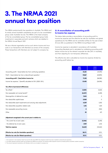## **3. The NRMA 2021 annual tax position**

The NRMA predominantly has operations in Australia. The NRMA and its wholly owned Australian subsidiaries are part of a tax consolidated group under Australian tax law. The NRMA is the head company of the tax consolidated group. The tax consolidated group holds investments in associates and joint ventures which are detailed in the NRMA Annual Report 2021.

We are a Mutual organisation and as such derive income and incur costs in our transactions with Members as owners of the company. These transactions with Members are not subject to company tax.

#### **3.1 A reconciliation of accounting profit to income tax expense**

The below table provides a reconciliation of accounting profit to income tax expense and the effective tax rate (for Australian and global operations) for the NRMA and its controlled entities for the year ended 30 June 2021, as published in the NRMA Annual Report 2021.

Income tax expense is calculated in accordance with Australian Accounting Standards and is calculated by multiplying accounting profit before income tax by the relevant corporate tax rate (30% in Australia), and then adjusting for non-temporary differences.

The effective tax rate is calculated as income tax expense divided by accounting profit before tax.

|                                                                       | 2021<br><b>SOOO</b> | 2020<br>\$000 |
|-----------------------------------------------------------------------|---------------------|---------------|
| Accounting profit / (loss) before tax from continuing operations      | 51,651              | (41,095)      |
| Profit / (loss) before tax from a discontinued operation <sup>1</sup> | 19,867              | (45,890)      |
| Accounting profit / (loss) before income tax                          | 71,518              | (86,985)      |
| Income tax expense / (benefit) calculated at 30% (2020: 30%)          | 21,455              | (26,096)      |
| Tax effect of permanent differences:                                  |                     |               |
| Tax offsets $2$                                                       | (3,581)             | (1,663)       |
| Non-assessable net mutual benefit <sup>3</sup>                        | (6,047)             | (6,158)       |
| Derecognition of deferred tax asset                                   | 7,634               | 0             |
| Non-deductible capital losses                                         | 2,068               | 0             |
| Non-deductible asset impairments and carrying value adjustments       | 4,229               | 3,202         |
| Non-deductible acquisition related costs                              | 1,216               | 1,524         |
| Non-assessable accounting income                                      | $\mathbf o$         | (945)         |
| Other                                                                 | 25                  | 673           |
| Adjustment recognised in the current year in relation to:             |                     |               |
| - the current tax of prior years                                      | (2,346)             | (3,218)       |
| - the deferred tax of prior years                                     | 1,949               | 2,216         |
| <b>Total tax expense</b>                                              | 26,602              | (30, 465)     |
| Effective tax rate (for Australian operations)                        | 26.5%               | 0.0%          |
| <b>Effective tax rate (for Global operations)</b>                     | 37.2%               | 0.0%          |

1 The investment in the Tuckerbox Hotel Trust and the NZ entity NRMA New Zealand Limited have been classified as discontinued operations.

2 Tax offsets represent franking credits from dividends the NRMA has received. The franking credits represent income tax already paid by Australian resident companies.

3 This amount represents transactions with Members which are not subject to company tax.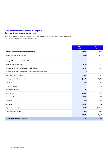### **3.2 A reconciliation of income tax expense to current year income tax payable**

The below table provides a reconciliation of income tax expense to current year income tax payable for the NRMA for the year ended 30 June 2021.

|                                                                   | 2021<br><b>SOOO</b> | 2020<br>\$000 |
|-------------------------------------------------------------------|---------------------|---------------|
| Total tax expense on profit before income tax                     | 26,602              | (30, 465)     |
| Adjustments relating to prior years                               | 2,346               | 3,218         |
| Timing differences recognised in deferred tax                     |                     |               |
| Trade and other receivables                                       | 1,039               | 894           |
| Financial assets at fair value through profit or loss             | (14,969)            | 9,084         |
| Financial assets at fair value through other comprehensive income | $\mathbf o$         | (111)         |
| Equity accounted investments                                      | (11,001)            | 8,388         |
| Property, plant and equipment                                     | (1, 560)            | 14,790        |
| Intangibles                                                       | 105                 | 4,384         |
| Investment property                                               | ı                   | $\mathbf 0$   |
| Defined benefit asset                                             | (6)                 | (82)          |
| Lease liability                                                   | (8, 448)            | 73,189        |
| Trade and other payables                                          | 2,403               | 213           |
| Provisions                                                        | (174)               | 306           |
| Tax losses                                                        | (2,683)             | 2,282         |
| $Right - of - use assets$                                         | 8,983               | (79, 898)     |
| Other assets and liabilities                                      | (860)               | (473)         |
|                                                                   | (27,170)            | 32,966        |
| Current year income tax payable                                   | 1,778               | 5,719         |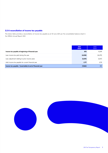### **3.3 A reconciliation of income tax payable**

The below table provides a reconciliation of income tax payable as at 30 June 2021 per the consolidated balance sheet in the NRMA Annual Report 2021.

|                                                            | 2021<br><b>SOOO</b> | 2020<br>\$000 |
|------------------------------------------------------------|---------------------|---------------|
| Income tax payable at beginning of financial year          | 872                 | 15,349        |
| Less: income tax paid during the year                      | (4,038)             | (16, 579)     |
| Less: adjustment relating to prior income years            | (5,674)             | (3,617)       |
| Add: income tax payable for current financial year         | 1,777               | 5,719         |
| Income fax payable / (receivable) af end of financial year | (7,063)             | 872           |

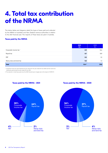# **4. Total tax contribution of the NRMA**

The below tables and diagrams detail the types of taxes paid and collected by the NRMA to Australian and New Zealand revenue authorities in relation to the 2021 financial year. The majority of these taxes are paid in Australia.

#### **Taxes paid by the NRMA**

|                                   | 2021<br><b>Sm</b> | 2020<br>$\mathsf{Sm}$ |
|-----------------------------------|-------------------|-----------------------|
| Corporate income tax <sup>1</sup> | 4.0               | 16.6                  |
| Payroll tax                       | 8.7               | 10.9                  |
| <b>FBT</b>                        | 0.5               | 1.0                   |
| Stamp duty and land tax           | 0.2               | 1.3                   |
| <b>Total</b>                      | 13.4 <sup>2</sup> | 29.8                  |

1 Corporate income tax paid represents the tax refund for the year ended 30 June 2020 and the income tax

instalments paid during the year ended 30 June 2021.

2 The reduction in total taxes paid since the 2020 financial year is largely due to the impact of COVID 19.



### **Taxes paid by the NRMA - 2021 Taxes paid by the NRMA - 2020**

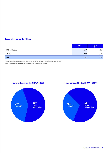### **Taxes collected by the NRMA**

|                      | 2021<br>Sm | 2020<br>$\mathsf{Sm}$ |
|----------------------|------------|-----------------------|
| PAYG withholding     | 42.1       | 53.1                  |
| Net GST <sup>2</sup> | 29.6       | 23.9                  |
| <b>Total</b>         | 71.7       | 77.0                  |

1 The reduction in PAYG withholding taxes collected since the 2020 financial year is largely due to the impact of COVID 19.

2 Net GST represents GST collected on sales less the input tax credits claimed on supplies.



**Taxes collected by the NRMA - 2021 Taxes collected by the NRMA - 2020**

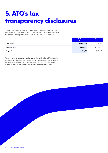# **5. ATO's tax transparency disclosures**

The ATO publishes an annual 'Report of entity tax information' for entities with total income of \$100m or more. The ATO has published the following information for the NRMA relating to the years ended 30 June 2020 and 30 June 2019.

|                | 2020<br><b>AT</b> | 2019        |
|----------------|-------------------|-------------|
| Total income   | 662,674,198       | 706,394,174 |
| Taxable income | 20,318,337        | 68,384,203  |
| Tax payable    | 3,099,199         | 13,662,260  |

Taxable income is calculated based on accounting profit adjusted for allowable temporary and non-temporary differences in accordance with the Australian tax law. The tax payable amount is then determined by multiplying the taxable income by the 30% corporate tax rate, reduced by available tax offsets.